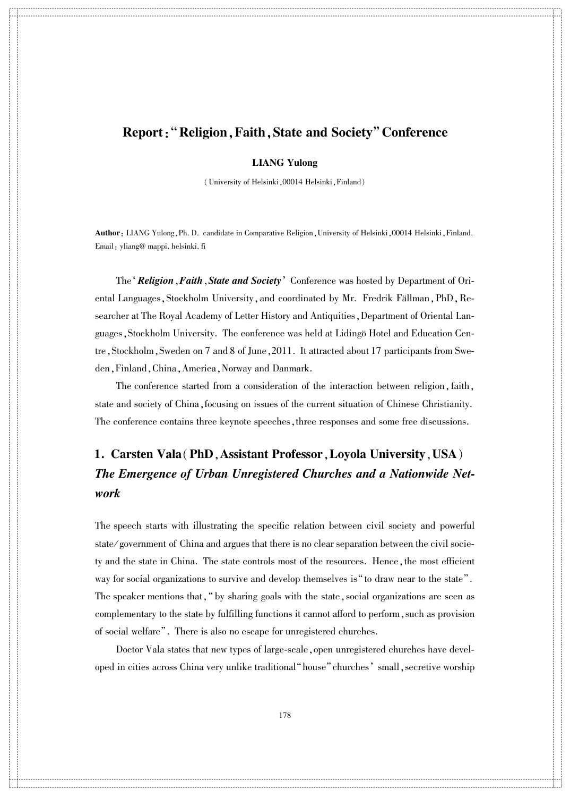#### Report: "Religion, Faith, State and Society" Conference

 $\ddotso$  $\ddotsc$ 

詪 詪 詪 詪 詪 詪 詪 詪 詪 詪 詪

詪 詪 詪 詪 詪 詪 詪 詪 詪 詪 詪 詪 詪 詪 詪 詪 詪 詪 詪 詪 詪 詪 詪 詪 詪 詪 詪 詪 詪 詪 詪 詪 詪 詪 詪 詪 詪 詪 詪 詪 詪 詪 詪 詪 詪 詪 詪 詪 詪 詪 詪 詪 詪 詪 詪 詪 詪 詪

詪 詪 詪 詪 詪 詪 詪 詪 詪 詪 詪 詪 詪 詪 詪 詪 詪 詪 詪 詪 詪 詪

詪 詪 詪 詪 詪 詪 詪 詪 詪 詪 詪 詪 詪 詪 詪 詪 詪 詪 詪 詪 詪 詪 詪 詪 詪 詪 詪 詪 詪 詪 詪 詪 詪 詪 詪 詪 詪 詪 詪 詪 詪 詪 詪 詪 詪 詪 詪 詪 詪 詪 詪 詪 詪 詪 詪 詪 詪 詪

詪 詪 詪 詪 詪 詪 詪 詪 詪 詪 詪

 $\bar{\Pi}$ 

詪 詪 詪 詪 詪 詪 詪 詪 詪 詪 詪

詪 詪 詪 詪 詪 詪 詪 詪 詪 詪

詪 詪 詪 詪 詪 詪 詪 詪 詪 詪 詪 詪 詪 詪 詪 詪 詪 詪 詪 詪 詪 詪 詪 詪 詪 詪 詪 詪 詪 詪 詪 詪 詪 詪 詪 詪 詪 詪 詪 詪 詪 詪 詪 詪 詪 詪 詪 詪 詪 詪 詪 詪 詪 詪 詪 詪 詪 詪

詪 詪 詪 詪 詪 詪 詪 詪 詪 詪 詪

詪詪詪

詪 詪 詪 詪 詪 詪 詪 詪 詪 詪 詪

詪 詪 詪 詪 詪 詪 詪 詪 詪 詪 詪 詪 詪 詪 詪 詪 詪 詪 詪 詪 詪 詪 詪 詪 詪 詪 詪 詪 詪 詪 詪 詪 詪 詪 詪 詪 詪 詪 詪 詪 詪 詪 詪 詪 詪 詪 詪 詪 詪 詪 詪 詪 詪 詪 詪 詪 詪 詪

#### LIANG Yulong

(University of Helsinki,00014 Helsinki,Finland)

Author: LIANG Yulong, Ph. D. candidate in Comparative Religion, University of Helsinki, 00014 Helsinki, Finland. Email: yliang@ mappi. helsinki. fi

The 'Religion, Faith, State and Society' Conference was hosted by Department of Oriental Languages, Stockholm University, and coordinated by Mr. Fredrik Fällman, PhD, Researcher at The Royal Academy of Letter History and Antiquities, Department of Oriental Languages, Stockholm University. The conference was held at Lidingö Hotel and Education Centre, Stockholm, Sweden on 7 and 8 of June, 2011. It attracted about 17 participants from Sweden,Finland,China,America,Norway and Danmark.

The conference started from a consideration of the interaction between religion, faith, state and society of China,focusing on issues of the current situation of Chinese Christianity. The conference contains three keynote speeches, three responses and some free discussions.

### 1. Carsten Vala(PhD,Assistant Professor,Loyola University,USA) The Emergence of Urban Unregistered Churches and a Nationwide Network

The speech starts with illustrating the specific relation between civil society and powerful state/government of China and argues that there is no clear separation between the civil society and the state in China. The state controls most of the resources. Hence, the most efficient way for social organizations to survive and develop themselves is "to draw near to the state". The speaker mentions that, " by sharing goals with the state, social organizations are seen as complementary to the state by fulfilling functions it cannot afford to perform, such as provision of social welfare". There is also no escape for unregistered churches.

Doctor Vala states that new types of large-scale, open unregistered churches have developed in cities across China very unlike traditional "house" churches' small, secretive worship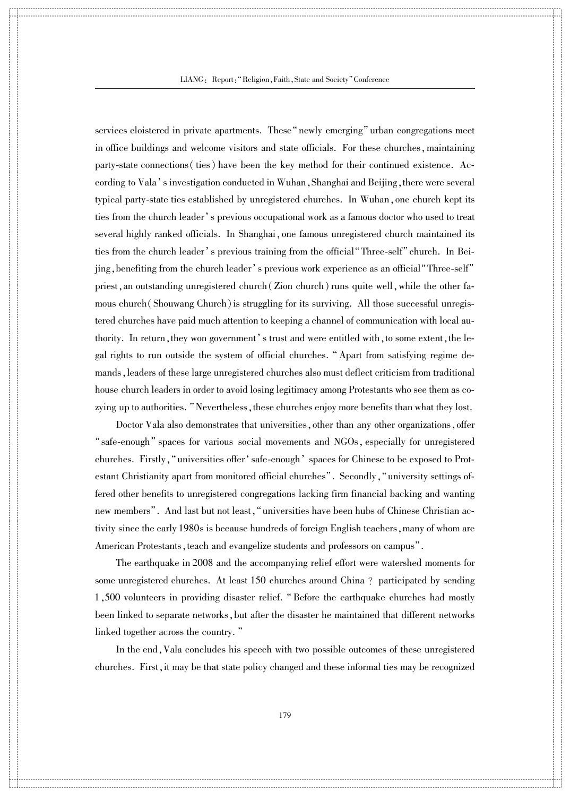詪 詪 詪 詪 詪 詪 詪 詪 詪 詪 詪

詪 詪 詪 詪 詪 詪 詪 詪 詪 詪 詪 詪 詪 詪 詪 詪 詪 詪 詪 詪 詪 詪 詪 詪 詪 詪 詪 詪 詪 詪 詪 詪 詪 詪 詪 詪 詪 詪 詪 詪 詪 詪 詪 詪 詪 詪 詪 詪 詪 詪 詪 詪 詪 詪 詪 詪 詪 詪

詪 詪 詪 詪 詪 詪 詪 詪 詪 詪 詪 詪 詪 詪 詪 詪 詪 詪 詪 詪 詪 詪

詪 詪 詪 詪 詪 詪 詪 詪 詪 詪 詪 詪 詪 詪 詪 詪 詪 詪 詪 詪 詪 詪 詪 詪 詪 詪 詪 詪 詪 詪 詪 詪 詪 詪 詪 詪 詪 詪 詪 詪 詪 詪 詪 詪 詪 詪 詪 詪 詪 詪 詪 詪 詪 詪 詪 詪 詪 詪

詪 詪 詪 詪 詪 詪 詪 詪 詪 詪 詪

 $\bar{\Pi}$ 

詪 詪 詪 詪 詪 詪 詪 詪 詪 詪 詪

詪 詪 詪 詪 詪 詪 詪 詪 詪 詪

詪 詪 詪 詪 詪 詪 詪 詪 詪 詪 詪 詪 詪 詪 詪 詪 詪 詪 詪 詪 詪 詪 詪 詪 詪 詪 詪 詪 詪 詪 詪 詪 詪 詪 詪 詪 詪 詪 詪 詪 詪 詪 詪 詪 詪 詪 詪 詪 詪 詪 詪 詪 詪 詪 詪 詪 詪 詪

詪 詪 詪 詪 詪 詪 詪 詪 詪 詪 詪

詪詪詪

詪 詪 詪 詪 詪 詪 詪 詪 詪 詪 詪

詪 詪 詪 詪 詪 詪 詪 詪 詪 詪 詪 詪 詪 詪 詪 詪 詪 詪 詪 詪 詪 詪 詪 詪 詪 詪 詪 詪 詪 詪 詪 詪 詪 詪 詪 詪 詪 詪 詪 詪 詪 詪 詪 詪 詪 詪 詪 詪 詪 詪 詪 詪 詪 詪 詪 詪 詪 詪 services cloistered in private apartments. These "newly emerging" urban congregations meet in office buildings and welcome visitors and state officials. For these churches, maintaining party-state connections ( ties) have been the key method for their continued existence. According to Vala's investigation conducted in Wuhan, Shanghai and Beijing, there were several typical party-state ties established by unregistered churches. In Wuhan, one church kept its ties from the church leader's previous occupational work as a famous doctor who used to treat several highly ranked officials. In Shanghai, one famous unregistered church maintained its ties from the church leader's previous training from the official "Three-self" church. In Beijing, benefiting from the church leader's previous work experience as an official "Three-self" priest, an outstanding unregistered church (Zion church) runs quite well, while the other famous church (Shouwang Church) is struggling for its surviving. All those successful unregistered churches have paid much attention to keeping a channel of communication with local authority. In return, they won government's trust and were entitled with, to some extent, the legal rights to run outside the system of official churches. "Apart from satisfying regime demands,leaders of these large unregistered churches also must deflect criticism from traditional house church leaders in order to avoid losing legitimacy among Protestants who see them as cozying up to authorities. "Nevertheless, these churches enjoy more benefits than what they lost.

Doctor Vala also demonstrates that universities, other than any other organizations, offer "safe-enough" spaces for various social movements and NGOs, especially for unregistered churches. Firstly, "universities offer 'safe-enough' spaces for Chinese to be exposed to Protestant Christianity apart from monitored official churches". Secondly, "university settings offered other benefits to unregistered congregations lacking firm financial backing and wanting new members". And last but not least, "universities have been hubs of Chinese Christian activity since the early 1980s is because hundreds of foreign English teachers, many of whom are American Protestants, teach and evangelize students and professors on campus".

The earthquake in 2008 and the accompanying relief effort were watershed moments for some unregistered churches. At least 150 churches around China ? participated by sending 1,500 volunteers in providing disaster relief. " Before the earthquake churches had mostly been linked to separate networks, but after the disaster he maintained that different networks linked together across the country."

In the end,Vala concludes his speech with two possible outcomes of these unregistered churches. First,it may be that state policy changed and these informal ties may be recognized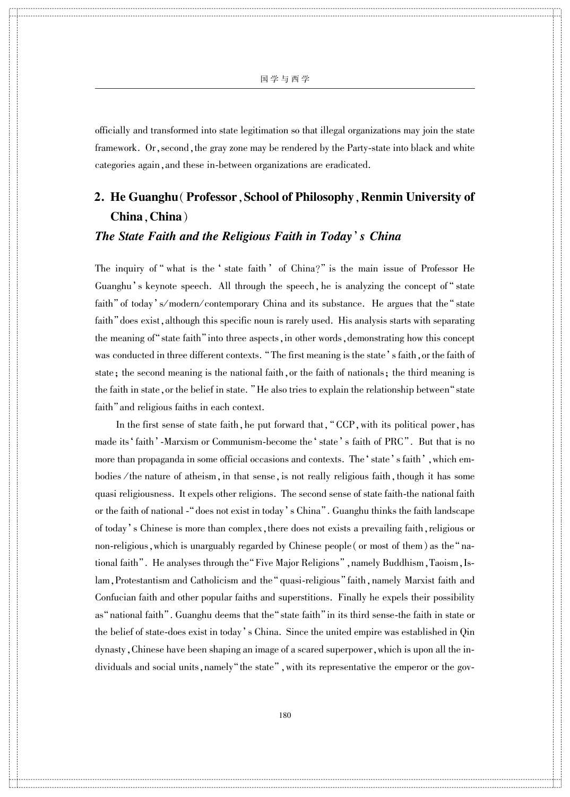詪 詪 詪 詪 詪 詪 詪 詪 詪 詪 詪

詪 詪 詪 詪 詪 詪 詪 詪 詪 詪 詪 詪 詪 詪 詪 詪 詪 詪 詪 詪 詪 詪 詪 詪 詪 詪 詪 詪 詪 詪 詪 詪 詪 詪 詪 詪 詪 詪 詪 詪 詪 詪 詪 詪 詪 詪 詪 詪 詪 詪 詪 詪 詪 詪 詪 詪 詪 詪

詪 詪 詪 詪 詪 詪 詪 詪 詪 詪 詪 詪 詪 詪 詪 詪 詪 詪 詪 詪 詪 詪

詪 詪 詪 詪 詪 詪 詪 詪 詪 詪 詪 詪 詪 詪 詪 詪 詪 詪 詪 詪 詪 詪 詪 詪 詪 詪 詪 詪 詪 詪 詪 詪 詪 詪 詪 詪 詪 詪 詪 詪 詪 詪 詪 詪 詪 詪 詪 詪 詪 詪 詪 詪 詪 詪 詪 詪 詪 詪

詪 詪 詪 詪 詪 詪 詪 詪 詪 詪 詪

officially and transformed into state legitimation so that illegal organizations may join the state framework. Or, second, the gray zone may be rendered by the Party-state into black and white categories again, and these in-between organizations are eradicated.

## 2. He Guanghu (Professor, School of Philosophy, Renmin University of China,China)

#### The State Faith and the Religious Faith in Today's China

 $\bar{\Pi}$ 

詪 詪 詪 詪 詪 詪 詪 詪 詪 詪 詪

詪 詪 詪 詪 詪 詪 詪 詪 詪 詪

詪 詪 詪 詪 詪 詪 詪 詪 詪 詪 詪 詪 詪 詪 詪 詪 詪 詪 詪 詪 詪 詪 詪 詪 詪 詪 詪 詪 詪 詪 詪 詪 詪 詪 詪 詪 詪 詪 詪 詪 詪 詪 詪 詪 詪 詪 詪 詪 詪 詪 詪 詪 詪 詪 詪 詪 詪 詪

詪 詪 詪 詪 詪 詪 詪 詪 詪 詪 詪

詪詪詪

詪 詪 詪 詪 詪 詪 詪 詪 詪 詪 詪

詪 詪 詪 詪 詪 詪 詪 詪 詪 詪 詪 詪 詪 詪 詪 詪 詪 詪 詪 詪 詪 詪 詪 詪 詪 詪 詪 詪 詪 詪 詪 詪 詪 詪 詪 詪 詪 詪 詪 詪 詪 詪 詪 詪 詪 詪 詪 詪 詪 詪 詪 詪 詪 詪 詪 詪 詪 詪

The inquiry of " what is the ' state faith ' of  $China?$ " is the main issue of Professor He Guanghu's keynote speech. All through the speech, he is analyzing the concept of " state faith" of today's/modern/contemporary China and its substance. He argues that the "state faith "does exist, although this specific noun is rarely used. His analysis starts with separating the meaning of "state faith" into three aspects, in other words, demonstrating how this concept was conducted in three different contexts. "The first meaning is the state's faith, or the faith of state; the second meaning is the national faith, or the faith of nationals; the third meaning is the faith in state, or the belief in state. "He also tries to explain the relationship between" state faith" and religious faiths in each context.

In the first sense of state faith, he put forward that, "CCP, with its political power, has made its 'faith' -Marxism or Communism-become the 'state's faith of PRC". But that is no more than propaganda in some official occasions and contexts. The 'state's faith', which embodies / the nature of atheism, in that sense, is not really religious faith, though it has some quasi religiousness. It expels other religions. The second sense of state faith-the national faith or the faith of national - "does not exist in today's China". Guanghu thinks the faith landscape of today's Chinese is more than complex, there does not exists a prevailing faith, religious or non-religious, which is unarguably regarded by Chinese people (or most of them) as the "national faith". He analyses through the "Five Major Religions", namely Buddhism, Taoism, Islam, Protestantism and Catholicism and the "quasi-religious" faith, namely Marxist faith and Confucian faith and other popular faiths and superstitions. Finally he expels their possibility as "national faith". Guanghu deems that the "state faith" in its third sense-the faith in state or the belief of state-does exist in today's China. Since the united empire was established in Qin dynasty, Chinese have been shaping an image of a scared superpower, which is upon all the individuals and social units, namely "the state", with its representative the emperor or the gov-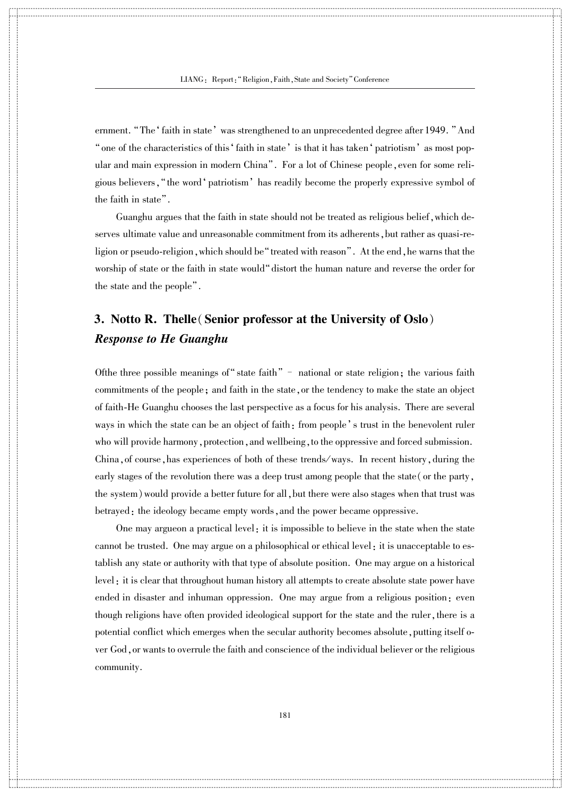詪 詪 詪 詪 詪 詪 詪 詪 詪 詪 詪

詪 詪 詪 詪 詪 詪 詪 詪 詪 詪 詪 詪 詪 詪 詪 詪 詪 詪 詪 詪 詪 詪 詪 詪 詪 詪 詪 詪 詪 詪 詪 詪 詪 詪 詪 詪 詪 詪 詪 詪 詪 詪 詪 詪 詪 詪 詪 詪 詪 詪 詪 詪 詪 詪 詪 詪 詪 詪

詪 詪 詪 詪 詪 詪 詪 詪 詪 詪 詪 詪 詪 詪 詪 詪 詪 詪 詪 詪 詪 詪

詪 詪 詪 詪 詪 詪 詪 詪 詪 詪 詪 詪 詪 詪 詪 詪 詪 詪 詪 詪 詪 詪 詪 詪 詪 詪 詪 詪 詪 詪 詪 詪 詪 詪 詪 詪 詪 詪 詪 詪 詪 詪 詪 詪 詪 詪 詪 詪 詪 詪 詪 詪 詪 詪 詪 詪 詪 詪

詪 詪 詪 詪 詪 詪 詪 詪 詪 詪 詪

 $\bar{\Pi}$ 

詪 詪 詪 詪 詪 詪 詪 詪 詪 詪 詪

詪 詪 詪 詪 詪 詪 詪 詪 詪 詪

詪 詪 詪 詪 詪 詪 詪 詪 詪 詪 詪 詪 詪 詪 詪 詪 詪 詪 詪 詪 詪 詪 詪 詪 詪 詪 詪 詪 詪 詪 詪 詪 詪 詪 詪 詪 詪 詪 詪 詪 詪 詪 詪 詪 詪 詪 詪 詪 詪 詪 詪 詪 詪 詪 詪 詪 詪 詪

詪 詪 詪 詪 詪 詪 詪 詪 詪 詪 詪

詪詪詪

詪 詪 詪 詪 詪 詪 詪 詪 詪 詪 詪

詪 詪 詪 詪 詪 詪 詪 詪 詪 詪 詪 詪 詪 詪 詪 詪 詪 詪 詪 詪 詪 詪 詪 詪 詪 詪 詪 詪 詪 詪 詪 詪 詪 詪 詪 詪 詪 詪 詪 詪 詪 詪 詪 詪 詪 詪 詪 詪 詪 詪 詪 詪 詪 詪 詪 詪 詪 詪 ernment. "The 'faith in state' was strengthened to an unprecedented degree after 1949. "And " one of the characteristics of this ' faith in state' is that it has taken ' patriotism' as most popular and main expression in modern China". For a lot of Chinese people, even for some religious believers, "the word 'patriotism' has readily become the properly expressive symbol of the faith in state".

Guanghu argues that the faith in state should not be treated as religious belief, which deserves ultimate value and unreasonable commitment from its adherents, but rather as quasi-religion or pseudo-religion, which should be "treated with reason". At the end, he warns that the worship of state or the faith in state would"distort the human nature and reverse the order for the state and the people".

### 3. Notto R. Thelle(Senior professor at the University of Oslo) Response to He Guanghu

Of the three possible meanings of "state faith" – national or state religion; the various faith commitments of the people; and faith in the state, or the tendency to make the state an object of faith-He Guanghu chooses the last perspective as a focus for his analysis. There are several ways in which the state can be an object of faith: from people's trust in the benevolent ruler who will provide harmony, protection, and wellbeing, to the oppressive and forced submission. China, of course, has experiences of both of these trends/ways. In recent history, during the early stages of the revolution there was a deep trust among people that the state (or the party, the system) would provide a better future for all, but there were also stages when that trust was betrayed: the ideology became empty words, and the power became oppressive.

One may argueon a practical level: it is impossible to believe in the state when the state cannot be trusted. One may argue on a philosophical or ethical level: it is unacceptable to establish any state or authority with that type of absolute position. One may argue on a historical level: it is clear that throughout human history all attempts to create absolute state power have ended in disaster and inhuman oppression. One may argue from a religious position: even though religions have often provided ideological support for the state and the ruler, there is a potential conflict which emerges when the secular authority becomes absolute, putting itself o ver God,or wants to overrule the faith and conscience of the individual believer or the religious community.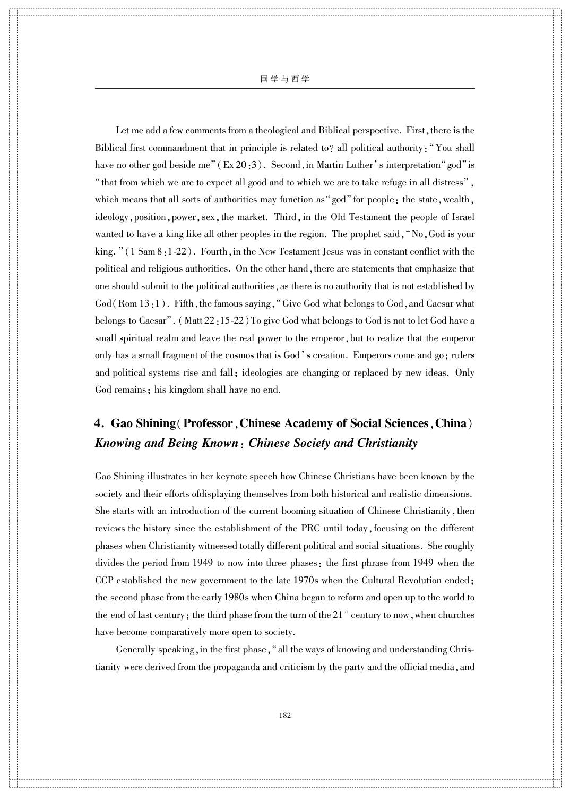国 学 与 西 学

 $\ddotso$  $\ddotsc$ 

詪 詪 詪 詪 詪 詪 詪 詪 詪 詪 詪

詪 詪 詪 詪 詪 詪 詪 詪 詪 詪 詪 詪 詪 詪 詪 詪 詪 詪 詪 詪 詪 詪 詪 詪 詪 詪 詪 詪 詪 詪 詪 詪 詪 詪 詪 詪 詪 詪 詪 詪 詪 詪 詪 詪 詪 詪 詪 詪 詪 詪 詪 詪 詪 詪 詪 詪 詪 詪

詪 詪 詪 詪 詪 詪 詪 詪 詪 詪 詪 詪 詪 詪 詪 詪 詪 詪 詪 詪 詪 詪

詪 詪 詪 詪 詪 詪 詪 詪 詪 詪 詪 詪 詪 詪 詪 詪 詪 詪 詪 詪 詪 詪 詪 詪 詪 詪 詪 詪 詪 詪 詪 詪 詪 詪 詪 詪 詪 詪 詪 詪 詪 詪 詪 詪 詪 詪 詪 詪 詪 詪 詪 詪 詪 詪 詪 詪 詪 詪

詪 詪 詪 詪 詪 詪 詪 詪 詪 詪 詪

 $\bar{\Pi}$ 

詪 詪 詪 詪 詪 詪 詪 詪 詪 詪 詪

詪 詪 詪 詪 詪 詪 詪 詪 詪 詪

詪 詪 詪 詪 詪 詪 詪 詪 詪 詪 詪 詪 詪 詪 詪 詪 詪 詪 詪 詪 詪 詪 詪 詪 詪 詪 詪 詪 詪 詪 詪 詪 詪 詪 詪 詪 詪 詪 詪 詪 詪 詪 詪 詪 詪 詪 詪 詪 詪 詪 詪 詪 詪 詪 詪 詪 詪 詪

詪 詪 詪 詪 詪 詪 詪 詪 詪 詪 詪

詪詪詪

詪 詪 詪 詪 詪 詪 詪 詪 詪 詪 詪

詪 詪 詪 詪 詪 詪 詪 詪 詪 詪 詪 詪 詪 詪 詪 詪 詪 詪 詪 詪 詪 詪 詪 詪 詪 詪 詪 詪 詪 詪 詪 詪 詪 詪 詪 詪 詪 詪 詪 詪 詪 詪 詪 詪 詪 詪 詪 詪 詪 詪 詪 詪 詪 詪 詪 詪 詪 詪

Let me add a few comments from a theological and Biblical perspective. First, there is the Biblical first commandment that in principle is related to? all political authority:"You shall have no other god beside me"  $(Ex 20:3)$ . Second, in Martin Luther's interpretation "god" is "that from which we are to expect all good and to which we are to take refuge in all distress", which means that all sorts of authorities may function as "god" for people: the state, wealth, ideology, position, power, sex, the market. Third, in the Old Testament the people of Israel wanted to have a king like all other peoples in the region. The prophet said, "No, God is your king.  $\lceil (1 \text{ Sam } 8:1-22) \rceil$ . Fourth, in the New Testament Jesus was in constant conflict with the political and religious authorities. On the other hand, there are statements that emphasize that one should submit to the political authorities,as there is no authority that is not established by  $God(Rom 13:1)$ . Fifth, the famous saying, "Give God what belongs to God, and Caesar what belongs to Caesar". (Matt 22:15-22) To give God what belongs to God is not to let God have a small spiritual realm and leave the real power to the emperor, but to realize that the emperor only has a small fragment of the cosmos that is God's creation. Emperors come and go; rulers and political systems rise and fall; ideologies are changing or replaced by new ideas. Only God remains; his kingdom shall have no end.

### 4. Gao Shining(Professor,Chinese Academy of Social Sciences,China) Knowing and Being Known: Chinese Society and Christianity

Gao Shining illustrates in her keynote speech how Chinese Christians have been known by the society and their efforts ofdisplaying themselves from both historical and realistic dimensions. She starts with an introduction of the current booming situation of Chinese Christianity, then reviews the history since the establishment of the PRC until today, focusing on the different phases when Christianity witnessed totally different political and social situations. She roughly divides the period from 1949 to now into three phases: the first phrase from 1949 when the CCP established the new government to the late 1970s when the Cultural Revolution ended; the second phase from the early 1980s when China began to reform and open up to the world to the end of last century; the third phase from the turn of the  $21<sup>st</sup>$  century to now , when churches have become comparatively more open to society.

Generally speaking, in the first phase, "all the ways of knowing and understanding Christianity were derived from the propaganda and criticism by the party and the official media, and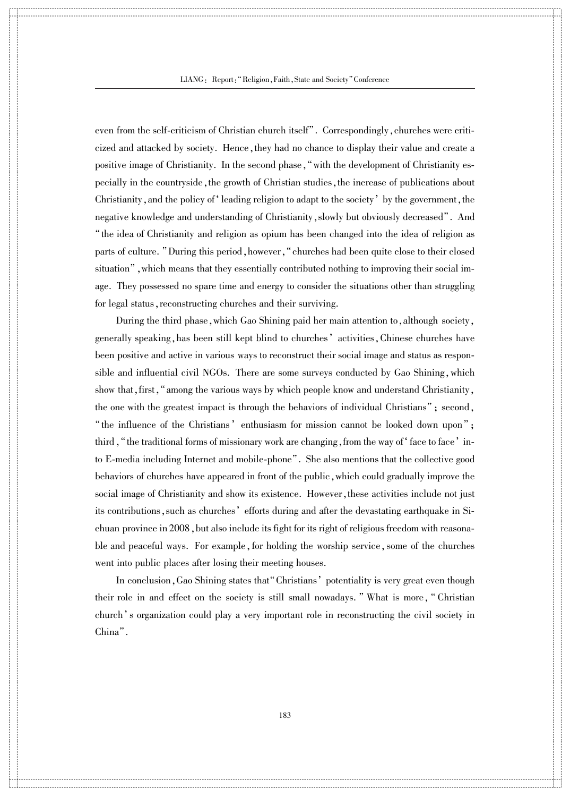詪 詪 詪 詪 詪 詪 詪 詪 詪 詪 詪

詪 詪 詪 詪 詪 詪 詪 詪 詪 詪 詪 詪 詪 詪 詪 詪 詪 詪 詪 詪 詪 詪 詪 詪 詪 詪 詪 詪 詪 詪 詪 詪 詪 詪 詪 詪 詪 詪 詪 詪 詪 詪 詪 詪 詪 詪 詪 詪 詪 詪 詪 詪 詪 詪 詪 詪 詪 詪

詪 詪 詪 詪 詪 詪 詪 詪 詪 詪 詪 詪 詪 詪 詪 詪 詪 詪 詪 詪 詪 詪

詪 詪 詪 詪 詪 詪 詪 詪 詪 詪 詪 詪 詪 詪 詪 詪 詪 詪 詪 詪 詪 詪 詪 詪 詪 詪 詪 詪 詪 詪 詪 詪 詪 詪 詪 詪 詪 詪 詪 詪 詪 詪 詪 詪 詪 詪 詪 詪 詪 詪 詪 詪 詪 詪 詪 詪 詪 詪

詪 詪 詪 詪 詪 詪 詪 詪 詪 詪 詪

 $\bar{\Pi}$ 

詪 詪 詪 詪 詪 詪 詪 詪 詪 詪 詪

詪 詪 詪 詪 詪 詪 詪 詪 詪 詪

詪 詪 詪 詪 詪 詪 詪 詪 詪 詪 詪 詪 詪 詪 詪 詪 詪 詪 詪 詪 詪 詪 詪 詪 詪 詪 詪 詪 詪 詪 詪 詪 詪 詪 詪 詪 詪 詪 詪 詪 詪 詪 詪 詪 詪 詪 詪 詪 詪 詪 詪 詪 詪 詪 詪 詪 詪 詪

詪 詪 詪 詪 詪 詪 詪 詪 詪 詪 詪

詪詪詪

詪 詪 詪 詪 詪 詪 詪 詪 詪 詪 詪

詪 詪 詪 詪 詪 詪 詪 詪 詪 詪 詪 詪 詪 詪 詪 詪 詪 詪 詪 詪 詪 詪 詪 詪 詪 詪 詪 詪 詪 詪 詪 詪 詪 詪 詪 詪 詪 詪 詪 詪 詪 詪 詪 詪 詪 詪 詪 詪 詪 詪 詪 詪 詪 詪 詪 詪 詪 詪 even from the self-criticism of Christian church itself". Correspondingly, churches were criticized and attacked by society. Hence,they had no chance to display their value and create a positive image of Christianity. In the second phase, "with the development of Christianity especially in the countryside, the growth of Christian studies, the increase of publications about Christianity, and the policy of leading religion to adapt to the society by the government, the negative knowledge and understanding of Christianity, slowly but obviously decreased". And "the idea of Christianity and religion as opium has been changed into the idea of religion as parts of culture. "During this period, however, "churches had been quite close to their closed situation<sup>n</sup>, which means that they essentially contributed nothing to improving their social image. They possessed no spare time and energy to consider the situations other than struggling for legal status, reconstructing churches and their surviving.

During the third phase, which Gao Shining paid her main attention to, although society, generally speaking, has been still kept blind to churches' activities, Chinese churches have been positive and active in various ways to reconstruct their social image and status as responsible and influential civil NGOs. There are some surveys conducted by Gao Shining, which show that, first, "among the various ways by which people know and understand Christianity, the one with the greatest impact is through the behaviors of individual Christians"; second, "the influence of the Christians' enthusiasm for mission cannot be looked down upon"; third, "the traditional forms of missionary work are changing, from the way of 'face to face' into E-media including Internet and mobile-phone". She also mentions that the collective good behaviors of churches have appeared in front of the public, which could gradually improve the social image of Christianity and show its existence. However, these activities include not just its contributions, such as churches' efforts during and after the devastating earthquake in Sichuan province in 2008, but also include its fight for its right of religious freedom with reasonable and peaceful ways. For example, for holding the worship service, some of the churches went into public places after losing their meeting houses.

In conclusion, Gao Shining states that "Christians" potentiality is very great even though their role in and effect on the society is still small nowadays. "What is more, "Christian church's organization could play a very important role in reconstructing the civil society in China".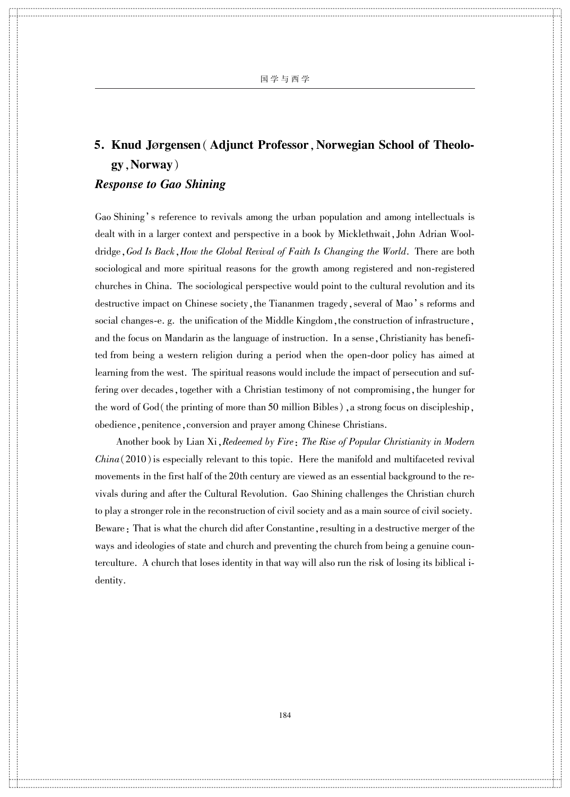詪 詪 詪 詪 詪 詪 詪 詪 詪 詪 詪

詪 詪 詪 詪 詪 詪 詪 詪 詪 詪 詪 詪 詪 詪 詪 詪 詪 詪 詪 詪 詪 詪 詪 詪 詪 詪 詪 詪 詪 詪 詪 詪 詪 詪 詪 詪 詪 詪 詪 詪 詪 詪 詪 詪 詪 詪 詪 詪 詪 詪 詪 詪 詪 詪 詪 詪 詪 詪

詪 詪 詪 詪 詪 詪 詪 詪 詪 詪 詪 詪 詪 詪 詪 詪 詪 詪 詪 詪 詪 詪

詪 詪 詪 詪 詪 詪 詪 詪 詪 詪 詪 詪 詪 詪 詪 詪 詪 詪 詪 詪 詪 詪 詪 詪 詪 詪 詪 詪 詪 詪 詪 詪 詪 詪 詪 詪 詪 詪 詪 詪 詪 詪 詪 詪 詪 詪 詪 詪 詪 詪 詪 詪 詪 詪 詪 詪 詪 詪

詪 詪 詪 詪 詪 詪 詪 詪 詪 詪 詪

# 5. Knud Jørgensen (Adjunct Professor, Norwegian School of Theology,Norway)

#### Response to Gao Shining

 $\bar{\Pi}$ 

詪 詪 詪 詪 詪 詪 詪 詪 詪 詪 詪

詪 詪 詪 詪 詪 詪 詪 詪 詪 詪

詪 詪 詪 詪 詪 詪 詪 詪 詪 詪 詪 詪 詪 詪 詪 詪 詪 詪 詪 詪 詪 詪 詪 詪 詪 詪 詪 詪 詪 詪 詪 詪 詪 詪 詪 詪 詪 詪 詪 詪 詪 詪 詪 詪 詪 詪 詪 詪 詪 詪 詪 詪 詪 詪 詪 詪 詪 詪

詪 詪 詪 詪 詪 詪 詪 詪 詪 詪 詪

詪詪詪

詪 詪 詪 詪 詪 詪 詪 詪 詪 詪 詪

詪 詪 詪 詪 詪 詪 詪 詪 詪 詪 詪 詪 詪 詪 詪 詪 詪 詪 詪 詪 詪 詪 詪 詪 詪 詪 詪 詪 詪 詪 詪 詪 詪 詪 詪 詪 詪 詪 詪 詪 詪 詪 詪 詪 詪 詪 詪 詪 詪 詪 詪 詪 詪 詪 詪 詪 詪 詪

Gao Shining's reference to revivals among the urban population and among intellectuals is dealt with in a larger context and perspective in a book by Micklethwait, John Adrian Wooldridge, God Is Back, How the Global Revival of Faith Is Changing the World. There are both sociological and more spiritual reasons for the growth among registered and non-registered churches in China. The sociological perspective would point to the cultural revolution and its destructive impact on Chinese society, the Tiananmen tragedy, several of Mao's reforms and social changes-e. g. the unification of the Middle Kingdom, the construction of infrastructure, and the focus on Mandarin as the language of instruction. In a sense, Christianity has benefited from being a western religion during a period when the open-door policy has aimed at learning from the west. The spiritual reasons would include the impact of persecution and suffering over decades, together with a Christian testimony of not compromising, the hunger for the word of God(the printing of more than 50 million Bibles), a strong focus on discipleship, obedience, penitence, conversion and prayer among Chinese Christians.

Another book by Lian Xi, Redeemed by Fire: The Rise of Popular Christianity in Modern  $China(2010)$  is especially relevant to this topic. Here the manifold and multifaceted revival movements in the first half of the 20th century are viewed as an essential background to the revivals during and after the Cultural Revolution. Gao Shining challenges the Christian church to play a stronger role in the reconstruction of civil society and as a main source of civil society. Beware: That is what the church did after Constantine, resulting in a destructive merger of the ways and ideologies of state and church and preventing the church from being a genuine counterculture. A church that loses identity in that way will also run the risk of losing its biblical identity.